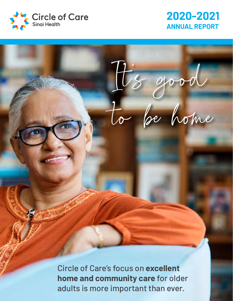





Circle of Care's focus on **excellent home and community care** for older adults is more important than ever.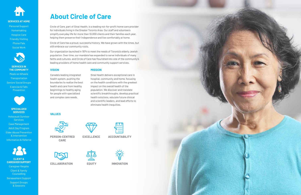# **About Circle of Care**

Circle of Care, part of Sinai Health, is a leading not-for-profit home care provider for individuals living in the Greater Toronto Area. Our staff and volunteers simplify everyday life for more than 10,000 clients and their families each year, helping them preserve their independence and live comfortably at home.

Circle of Care has a proud, successful history. We have grown with the times, but still embrace our community roots.

Our organization launched in 1974 to meet the needs of Toronto's elderly Jewish population. Over time, our mandate has expanded to serve individuals of many faiths and cultures, and Circle of Care has flourished into one of the community's leading providers of home health care and community support services.

**MISSION**

Meals on Wheels **Transportation** Seniors' Social Groups Exercise & Falls **Prevention** 

Sinai Health delivers exceptional care in hospital, community and home, focusing on the health conditions with the greatest

Client & Family **Counselling** 

impact on the overall health of the population. We discover and translate scientific breakthroughs, develop practical health solutions, educate future clinical and scientific leaders, and lead efforts to

eliminate health inequities.

#### **VISION**

Canada's leading integrated health system, pushing the boundaries to realize the best health and care from healthy beginnings to healthy aging for people with specialized and complex care needs.

**VALUES**



**PERSON-CENTRED CARE**



**EXCELLENCE ACCOUNTABILITY**





**COLLABORATION EQUITY INNOVATION**









#### **SERVICES AT HOME**

Personal Support **Homemaking** Hospice Care Friendly Visiting Phone Pals Social Work



#### **SERVICES IN THE COMMUNITY**



Holocaust Survivor **Services** Case Management Adult Day Program Elder Abuse Prevention & Intervention Information & Referral



**CAREGIVER SUPPORT** Caregiver Respite

Bereavement Support

Support Groups & Sessions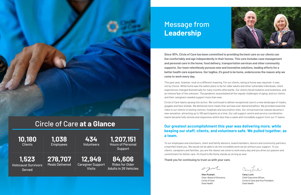**1,523**

Holocaust Survivors

Served

**12,949** Caregiver Support Visits

**1,207,151**

Hours of Personal Support

**278,707** Meals Delivered

**84,606** Rides for Older Adults in 26 Vehicles



### Circle of Care **at a Glance**

**10,180 Clients** 

**1,038** Employees

**434** Volunteers

# Message from **Leadership**

Allan Rudolph, Chair, Board of Directors, Circle of Care, Sinai Health



Carry Luchi

Carey Lucki, Chief Executive Officer, Circle of Care and Vice President, Sinai Health

**Since 1974, Circle of Care has been committed to providing the best care so our clients can live comfortably and age independently in their homes. This care includes case management and personal care in the home, food delivery, transportation services and other community supports. Our team relentlessly pursues new and innovative solutions, leading efforts for a better health care experience. Our tagline,** *It's good to be home***, underscores the reason why we come to work every day.**

This past year, however, took on a different meaning. For our clients, being at home was required—it was not by choice. While home was the safest place to be for older adults and other vulnerable individuals, client experiences changed dramatically for many months afterwards. Our clients faced isolation and loneliness, and an intense fear of the unknown. The pandemic exacerbated all the regular challenges of aging, and our clients and their caregivers needed support more than ever.

Circle of Care teams sprang into action. We continued to deliver exceptional care in a new landscape of masks, goggles and face shields. We delivered more meals than we have ever delivered before. We provided essential rides to our clients to testing centres, hospitals and vaccination sites. Our virtual exercise classes became a new sensation, attracting up to 100 participants at a time. Our call support centre and service coordination teams became fully remote and responsive within less than a week with incredible support from our IT teams.

### **Our greatest accomplishment this year was delivering more, while keeping our staff, clients, and volunteers safe. We pulled together, as a team.**

To our employees and volunteers, client and family advisors, board members, donors and community partners, a heartfelt thank you. We would not be able to do the incredible work we do without your support. To our clients, caregivers and families, you are the reason we come to work every day and you drive our passion and commitment for better care. It's Good to Be Home stands as strong as ever.

**Thank you for continuing to trust us with your care.**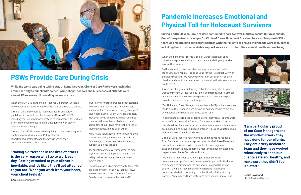

## **PSWs Provide Care During Crisis**

**While the world was being told to stay at home last year, Circle of Care PSWs were navigating around the city to our clients' homes. While shops, schools and businesses of all kinds were closed, PSWs were still providing necessary care.** 

When the COVID-19 pandemic hit last year, it brought with it a whole host of changes for how our PSWs provide care to clients.

Circle of Care implemented many new health and safety guidelines to protect our clients and staff from COVID-19, including the use of personal protective equipment (PPE), which often makes communication and engagement with elderly clients more challenging.

Circle of Care PSWs had to adjust quickly to new screening tools on their mobile devices, new PPE protocols, reporting requirements, and the ways in which they communicated with office staff.

When the pandemic first hit, Circle of Care's Holocaust case managers kept an open line to their clients and diligently worked to ensure their safety.

"In the beginning it was very hard—many rules weren't set in stone yet," says Yana Z., Practice Lead for the Holocaust Survivor Services Program. "We kept checking in on our clients - on their physical and emotional health, and on their situation to see how we could help."

As a result of physical distancing restrictions, many clients went weeks or months without seeing family and friends. Our HSSP Case Managers understood the toll the pandemic created and helped provide clients with emotional support.

"Our Holocaust Case Managers almost had a 24/7 job, because they made sure their phones were always on and accessible to anyone who needed them during that time," says Yana.

In addition to severed social connections, many HSSP clients were at risk of food insecurity. Circle of Care teams worked together quickly to introduce new approaches to make sure our clients were eating, including delivering boxes of fresh fruits and vegetables, as well as Hanukkah and Purim boxes.

Circle of Care received heartwarming and motivating feedback from Survivors, who shared appreciation for their Case Managers and for food deliveries. When public health messaging was cautioning them to stay at home, a meal and a check in phone call helped these clients feel safe and loved.

"We want to thank our Case Manager for her excellent communication, professionalism and, most importantly, kindness," expressed a family member of one of our Holocaust Survivor clients. "She built trust in our relationship and has always communicated with my family to find optimal solutions for my parents. My family and I are grateful to have her working with us."

# **Pandemic Increases Emotional and Physical Toll for Holocaust Survivors**

**During a difficult year, Circle of Care continued to care for over 1,500 Holocaust Survivor clients. One of the greatest challenges for Circle of Care's Holocaust Survivor Services Program (HSSP) team was maintaining consistent contact with their clients to ensure their needs were met, as well as linking them to other available support services to protect their mental health and wellbeing.** 

> **"I am particularly proud of our Case Managers and the wonderful work they have done for our clients. They are a very dedicated team and they have worked relentlessly to keep our clients safe and healthy, and make sure they didn't feel isolated."**

**Cecile Raymond**  Client Services Director

**"Making a difference in the lives of others is the very reason why I go to work each day. Getting attached to your clients is inevitable, and it's likely they'll get attached to you too! When you work from your heart, your client feels it."**

**Lita,** Circle of Care PSW





"Our PSW workforce surpassed expectations to ensure that their clients remained safe and cared for. There were so many changes," says Andrea David, Client Services Director. "However, some important things remained constant—the resilience, dedication, and commitment our PSWs have to their clients, their colleagues, and to each other."

Many PSWs volunteered to work beyond their stated availability and traveled outside of their assigned areas to provide necessary support to clients in need.

"My clients' safety is very important to me," says PSW Analyn. "Simply prioritizing their safety makes me happy, because I know they're safe."

The dedication and commitment to their roles has been evident in the way that our PSWs have responded to the pandemic. Circle of Care is proud to have such great staff!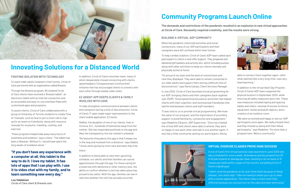

### **Innovating Solutions for a Distanced World**

#### **FIGHTING ISOLATION WITH TECHNOLOGY**

To reach older adults isolated in their homes, Circle of Care partnered with an organization called Breezie.

Through the Breezie program, 85 isolated Circle of Care clients have received a "Breezie tablet", an electronic tablet with an internet connection and an accessible and easy-to-use interface filled with customized apps and programs.

To assist clients, Circle of Care collaborated with a group of University of Toronto students to create "how to" manuals, such as how to join a Zoom call or sign up for an event on Eventbrite, along with resource manuals for museums, traveling, cooking, and exercise.

"These programs helped take away many hours of loneliness and isolation," says a client. "The tablet has been a lifesaver. Without it, I would have spent the long weeks of lockdown alone."

### **"If you don't have any experience with a computer at all, this tablet is the way to do it. I love my tablet. It has lots of apps that I can play with. I use it to video chat with my family, and to learn something new every day."**

**Lou Valdelman** Circle of Care client & Breezie user In addition, Circle of Care's volunteer team, many of whom desperately missed connecting with clients, spearheaded a "Compassionate Communities" initiative that has encouraged clients to connect with each other through weekly video chats.

#### **EZ ASSIST APP KEEPS CLIENTS & FAMILY INVOLVED WITH CARE**

To help strengthen communications between clients and caregivers during a time of disconnection, Circle of Care's IT team made major improvements to the client mobile application, EZ Assist.

Debbie, the daughter of one of our clients, lives in Victoria, B.C., hundreds of kilometres away from her mother. She has responded positively to the app and likes the transparency into her mother's schedule.

"My favourite thing about this app is that it keeps me in the loop and involved from a distance," says Debbie. "I know who's giving my mom care and when they'll be there."

In addition to being able to view their upcoming schedule, our clients and their families can cancel appointments through the app. For those caring for a loved one with dementia or other memory loss, the ability to confirm whether a visit has taken place has proved to be useful. With the app, families can see in real time whether the visit has actually occurred.

# **Community Programs Launch Online**

**The demands and restrictions of the pandemic resulted in an explosion in new virtual approaches at Circle of Care. Necessity required creativity, and the results were strong.** 

#### **BUILDING A VIRTUAL ADP COMMUNITY**

When the pandemic restricted activities and social connections, many of our ADP participants and their caregivers were left confined within their homes.

To help combat isolation, Circle of Care's ADP team called each participant to check in and offer support. They prepared and delivered gift baskets and activity kits, which included puzzles along with other activities to keep our clients mentally and physically active at home.

"I'm proud of my team and the level of commitment and care they displayed. They were able to remain connected to our older adults and support them during a difficult time of disconnection," says Maria Campo, Client Services Manager.

In July 2020, Circle of Care launched virtual programming for our ADP, bringing clients and their caregivers back together over ZOOM. The programming focused on activities that helped clients with their cognition, and reconnected friendships that had formed between clients and staff members.

"It was vital to us to provide virtual programming. We know the value of our program, and the importance of providing support to build familiarity, connection and engagement," says Madeline D'Arpino, ADP Supervisor. "Once we created the virtual ADP and clients were able to attend, they were so happy to see each other and talk to one another again. It was like a little community among our participants. Being



### **VIRTUAL EXERCISE CLASSES PROVE HUGE SUCCESS**

Circle of Care's first virtual exercise class launched in June 2020 and was scheduled for once a week. Attendance quickly jumped from 20 to 50 participants on average per class, resulting in an increase of 15 classes per week within a span of five months, exceeding Circle of Care's original goal.

"I didn't mind the pandemic at all, and I think that's because of these classes," one client says. "I like not having to dress up or go to class with a certain appearance. The online class is much more time effective because you can just turn on the class and start exercising."



able to connect them together again—after what seemed like a very long time—was very heartwarming."

In addition to the virtual Adult Day Program, Circle of Care's ADP team reopened the physical location in September 2020, while ensuring all safety measures were met. These new measures included taping and spacing tables and chairs; removal of excess furniture, equipment, books and plush objects; and a creation of an isolation room.

"We were so excited and happy to see our ADP participants once again. We really missed them and they missed us along with their fellow participants," says Madeline. "It's more than a program here. We're a community."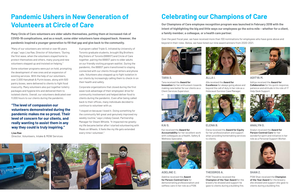# **Pandemic Ushers in New Generation of Volunteers at Circle of Care**

**Many Circle of Care volunteers are older adults themselves, putting them at increased risk of COVID-19 complications, and as a result, some older volunteers have stepped back. However, the pandemic inspired a younger generation to fill that gap and give back to the community.** 

"Many of our volunteers are retired or over 65 years of age," says Lisa Rae, Director of Volunteers. "During the first wave, when the volunteers stayed home to protect themselves and others, many young and new volunteers stepped up and insisted on helping."

Some volunteer programs were put on hold, prompting the development of new ones and an expansion of existing services. With the help of our volunteers, over 2,000 Hanukkah & Purim boxes, along with 500 pantry boxes, were delivered to clients to fight food insecurity. Many volunteers also put together toiletry packages and hygiene kits and delivered them to isolated clients. Overall, our volunteers dedicated over 11,000 hours to our clients during the pandemic.

A program called Triple G, initiated by University of Toronto graduate students, brought Big Brothers Big Sisters of Toronto (BBBST) and Circle of Care together, pairing the BBBST pairs to older adults on our friendly visiting program waitlist. During the pandemic, the BBBST pairs transitioned to staying connected with our clients through letters and phone calls. Volunteers also stepped up to fight isolation in our clients by increasingly calling them to check-in on their health and safety.

Corporate organizations that closed during the first wave took advantage of their employees' drive for community involvement and helped deliver food to clients during the pandemic. Even after being called back to their offices, many individuals decided to continue to volunteer with us.

"I stayed on because I loved it. Doing something for the community felt great and genuinely improved my weekly routine," says Lindsey Cassel, Partnership Manager for Steam Whistle. "It impacted me greatly; my life became better after I started volunteering with Meals on Wheels. It feels like my life gets extended every time I volunteer."







# **Celebrating our Champions of Care**

**Our Champions of Care employee recognition program was launched in February 2018 with the intent of highlighting the big and little ways our employees go the extra mile – whether for a client, a family member, a colleague, or a health care partner.**

Over the past fiscal year, we have received more than 100 nominations for employees who have gone above and beyond in their roles. Below, we have listed our nine award winners from 2020-2021.



Tara received the **Award for Innovation** for her enthusiasm towards making care better for our clients as a Client Services Supervisor.



**ALLA I.**

Alla received the **Award for Excellence** for always going above and beyond the call of duty in her role as a Holocaust Survivor Case Manager.



#### **ADITYA M.**

Aditya received the **Award for Collaboration** for his quick response, patience and attitude in his role of IT Help Desk Support.



**KAI S.**

Kai received the **Award for Accountability** for her excellent work with colleagues as a Health, Safety & Wellness Specialist.



**ELENA B.**

Elena received the **Award for Equity** for her professionalism and support when providing homemaking services

to clients.



**ANALYN O.**

Analyn received the **Award for Person-Centred Care** for her wonderful spirit and initiative in her role as a Personal Support Worker.



**ADELINE C.**

Adeline received the **Award for Person-Centred Care** for demonstrating professionalism and selfless care in her role as a PSW.

**THEODROS A.**

PSW Theodros received the





**Champion of the Year Award** for the bravery he showed and support he gave to clients during a building fire.



**SHAN Z.** PSW Shan received the **Champion of the Year Award** for the bravery she showed and support she gave to clients during a building fire.

**"The level of compassion our volunteers demonstrated during the pandemic makes me so proud. Their level of concern for our clients, and really wanting to assist them in any way they could is truly inspiring."**

**Lisa Rae** Director, Volunteers, Intake & MOW Services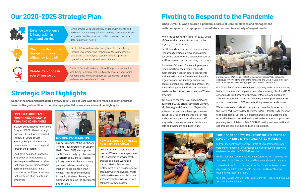# **Our 2020-2025 Strategic Plan**



### **EMPLOYEE ASSISTANCE PROGRAM EXPANDED TO PSWs AND HOMEMAKERS**

In 2020, our Employee Assistance Program (EAP), offered through Morneau Shepell, was expanded to allow all Circle of Care Personal Support Workers and Homemakers to receive support through the program.

The EAP is designed to provide employees with assistance to resolve personal issues or crises that can negatively impact their performance at work. It is a short-term, confidential service that is offered at no cost to our employees.

### **NEW OFFERINGS FOR MEALS ON WHEELS PROGRAM**

Over the last year, Circle of Care's Meals on Wheels program partnered with FoodShare to provide fresh produce to clients. We've also started offering Ensure meal replacement drinks to clients as part of regular weekly deliveries. And to celebrate Hanukkah and Purim, our staff and volunteers delivered food hampers to Jewish clients.



As a core member of the North York Toronto Health Partners, an Ontario Health Team (OHT), we supported our OHT community by collaborating with North York General Hospital, primary care, and other community partners to deliver care for high intensity needs clients in their homes. We are also contributing to ongoing strategic planning to advance and achieve the operational goals of the OHT.



### **CIRCLE OF CARE PSWS ROLLED UP THEIR SLEEVES AS SOME OF ONTARIO'S FIRST VACCINATED WORKERS**

As frontline healthcare workers, Circle of Care Personal Support Workers were some of the first people in the province that were eligible to receive the COVID-19 vaccine.

In late December 2020, PSW Kathleen (pictured left) received her first dose of the Pfizer vaccine, and her second dose in January.

" I give thanks to God to be one of the first," said Kathleen. "I feel very privileged. I love the people I care for, and by protecting myself, I am protecting them."

Kathleen, 67, has worked for Circle of Care for 11 years, and was our first vaccined employee.

# **Pivoting to Respond to the Pandemic**

When the pandemic hit in March 2020, Circle of Care worked quickly to respond to the urgency of the situation.

Our IT department provided equipment and resources to office employees, including call centre staff. Within a two-week span, all staff were asked to start working from home.

A number of Circle of Care employees were redeployed from their regular duties to meet growing needs in other departments during the first wave. These needs including organizing and packing large numbers of bags of personal protective equipment (PPE) and other supplies for PSWs, and delivering meals to clients through our Meals on Wheels program.

"I'm proud of the efforts of our employees during the COVID crisis," says Dara Zarnett, VP, Strategy and Operations. "Especially in Wave 1, when so much was yet unknown about the virus and there was a lot of fear and uncertainty in our province, our staff stepped up to make sure our clients were safe and their care could continue."



Enhance excellence & integration in care and service



Champion thoughtful design for innovation, efficiency & growth

Create joy & pride in everything we do

### **Strategic Plan Highlights**

**Despite the challenges presented by COVID-19, Circle of Care was able to make excellent progress towards the goals outlined in our strategic plan. Below we share some of our highlights:**

Circle of Care will purposefully engage with clients and partners to advance quality and leading practices with an emphasis on client-centred holistic care and the broad determinants of health.

Circle of Care will work to strengthen client wellbeing through investment and technology. We will foster our digital and data analytics capabilities and optimize operational processes and performance.



Circle of Care will foster a culture that promotes healing, well-being, learning, inclusivity, collaboration and social responsibility. We will support our teams with enabling wellness and excellence in care.

**When COVID-19 was declared a pandemic, Circle of Care employees and management switched geaers to step up and immediately respond to a variety of urgent needs.**

> Our Client Services team employed creativity and stategic thinking to increase client and employee safety by reviewing client and PSW schedules to limit potential spread of infection. And our Client Services Supervisors provided coaching and support to our PSWs around correct use of PPE and infection prevention and control.

> We also worked closely with our partner organizations as part of the North York Toronto Health Partners (NYTHP) efforts to respond to the pandemic. Our staff, including nurses, social workers, and other allied health professionals, provided operational support and planning to administer mobile COVID-19 testing and vaccinations in congregate care settings and seniors buildings.



*Large amounts of Personal Protective Equipment needed to be organized and issued to PSWs at the start of the pandemic, and Circle of Care staff from various departments were redeployed to assist with these efforts.*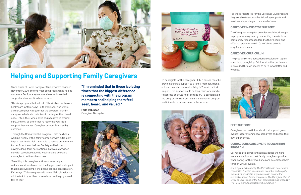

# Helping and Supporting Family Caregivers<br>To be eligible for the Caregiver Club, a person must be

Since Circle of Care's Caregiver Club program began in November 2020, the one-year pilot program has helped numerous family caregivers receive much-needed support and connection to resources.

"This is a program that helps to fill a vital gap within our healthcare system," says Faith Robinson, who works as the Caregiver Navigator for the program. "Family caregivers dedicate their lives to caring for their loved ones. Often, their whole lives begin to revolve around care. And yet, so often they're receiving very little support themselves. Caregiver burnout is incredibly common."

Through the Caregiver Club program, Faith has been working weekly with a family caregiver with extremely high stress levels. Faith was able to secure grant money for her from the Alzheimer Society and help her to navigate long-term care options. Faith also provided her with caregiver-specific webinars and self-care strategies to address her stress.

"Providing this caregiver with resources helped to reduce her stress levels, but the biggest positive impact that I made was simply the phone call and conversation," Faith says. "This caregiver said to me, 'Faith, it helps me a lot to talk to you. I feel more relaxed and happy when I talk to you.'"

providing unpaid support to a family member, friend, or loved one who is a senior living in Toronto or York Region. This support could be long-term, or episodic to address an acute health situation. To participate in the program's virtual curriculum and events, program participants require access to the internet.



For those registered for the Caregiver Club program, they are able to access the following supports and services, depending on their level of need:

### **CAREGIVER NAVIGATOR SUPPORT**

The Caregiver Navigator provides social work support to program caregivers by connecting them to local community resources tailored to their needs, and offering regular check-in Care Calls to provide ongoing assistance.

### **CAREGIVER CURRICULUM**

The program offers educational sessions on topics specific to caregiving. Additional online curriculum is provided through access to our e-newsletter and website.



**"I'm reminded that in these isolating times that the biggest difference is connecting with the program members and helping them feel seen, heard, and valued."**

**Faith Robinson** Caregiver Navigator





### **PEER SUPPORT**

Caregivers can participate in virtual support group events to learn from fellow caregivers and share their own experiences.

### **COURAGEOUS CAREGIVERS RECOGNITION PROGRAM**

Our recognition program acknowledges the hard work and dedication that family caregivers provide when caring for their loved ones and celebrates them through virtual events.

*Our program is funded by The Petro Canada CareMakers Foundation™, which raises funds to enable and amplify the work of charitable organizations in Canada that currently support family caregivers. The Caregiver Club at Circle of Care is one of the first programs being funded by The Petro Canada CareMakers Foundation.™*